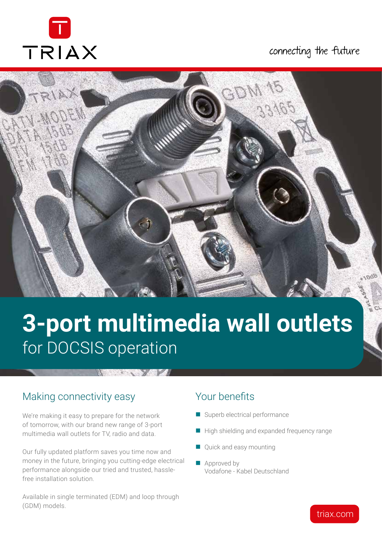

# connecting the future



# **3-port multimedia wall outlets** for DOCSIS operation

#### **All Andrew York**

# Making connectivity easy

We're making it easy to prepare for the network of tomorrow, with our brand new range of 3-port multimedia wall outlets for TV, radio and data.

Our fully updated platform saves you time now and money in the future, bringing you cutting-edge electrical performance alongside our tried and trusted, hasslefree installation solution.

Available in single terminated (EDM) and loop through (GDM) models.

# Your benefits

- Superb electrical performance
- High shielding and expanded frequency range
- Quick and easy mounting
- Approved by Vodafone - Kabel Deutschland

# triax.com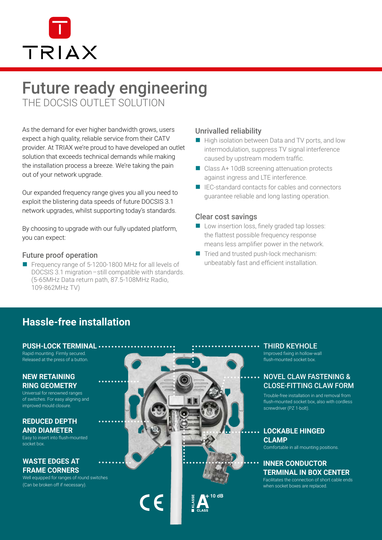

# Future ready engineering

THE DOCSIS OUTLET SOLUTION

As the demand for ever higher bandwidth grows, users expect a high quality, reliable service from their CATV provider. At TRIAX we're proud to have developed an outlet solution that exceeds technical demands while making the installation process a breeze. We're taking the pain out of your network upgrade.

Our expanded frequency range gives you all you need to exploit the blistering data speeds of future DOCSIS 3.1 network upgrades, whilst supporting today's standards.

By choosing to upgrade with our fully updated platform, you can expect:

## Future proof operation

Frequency range of 5-1200-1800 MHz for all levels of DOCSIS 3.1 migration – still compatible with standards. (5-65MHz Data return path, 87.5-108MHz Radio, 109-862MHz TV)

## Unrivalled reliability

- High isolation between Data and TV ports, and low intermodulation, suppress TV signal interference caused by upstream modem traffic.
- Class A+ 10dB screening attenuation protects against ingress and LTE interference.
- IEC-standard contacts for cables and connectors guarantee reliable and long lasting operation.

## Clear cost savings

- **Low insertion loss, finely graded tap losses:** the flattest possible frequency response means less amplifier power in the network.
- Tried and trusted push-lock mechanism: unbeatably fast and efficient installation.

# **Hassle-free installation**

#### **PUSH-LOCK TERMINAL**

Rapid mounting. Firmly secured. Released at the press of a button.

#### **NEW RETAINING RING GEOMETRY**

Universal for renowned ranges of switches. For easy aligning and improved mould closure.

#### **REDUCED DEPTH AND DIAMETER**

Easy to insert into flush-mounted socket box.

#### **WASTE EDGES AT FRAME CORNERS**

Well equipped for ranges of round switches (Can be broken off if necessary).



THIRD KEYHOLE

Improved fixing in hollow-wall flush-mounted socket box.

## .. NOVEL CLAW FASTENING & CLOSE-FITTING CLAW FORM

Trouble-free installation in and removal from flush-mounted socket box, also with cordless screwdriver (PZ 1-bolt).

# **LOCKABLE HINGED CLAMP**

Comfortable in all mounting positions.

## **INNER CONDUCTOR TERMINAL IN BOX CENTER**

Facilitates the connection of short cable ends when socket boxes are replaced.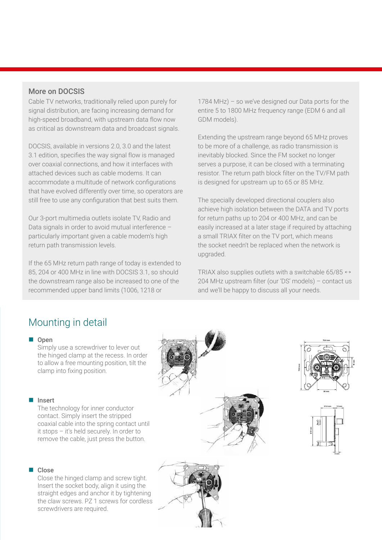## More on DOCSIS

Cable TV networks, traditionally relied upon purely for signal distribution, are facing increasing demand for high-speed broadband, with upstream data flow now as critical as downstream data and broadcast signals.

DOCSIS, available in versions 2.0, 3.0 and the latest 3.1 edition, specifies the way signal flow is managed over coaxial connections, and how it interfaces with attached devices such as cable modems. It can accommodate a multitude of network configurations that have evolved differently over time, so operators are still free to use any configuration that best suits them.

Our 3-port multimedia outlets isolate TV, Radio and Data signals in order to avoid mutual interference – particularly important given a cable modem's high return path transmission levels.

If the 65 MHz return path range of today is extended to 85, 204 or 400 MHz in line with DOCSIS 3.1, so should the downstream range also be increased to one of the recommended upper band limits (1006, 1218 or

1784 MHz) – so we've designed our Data ports for the entire 5 to 1800 MHz frequency range (EDM 6 and all GDM models).

Extending the upstream range beyond 65 MHz proves to be more of a challenge, as radio transmission is inevitably blocked. Since the FM socket no longer serves a purpose, it can be closed with a terminating resistor. The return path block filter on the TV/FM path is designed for upstream up to 65 or 85 MHz.

The specially developed directional couplers also achieve high isolation between the DATA and TV ports for return paths up to 204 or 400 MHz, and can be easily increased at a later stage if required by attaching a small TRIAX filter on the TV port, which means the socket needn't be replaced when the network is upgraded.

TRIAX also supplies outlets with a switchable 65/85  $\leftrightarrow$ 204 MHz upstream filter (our 'DS' models) – contact us and we'll be happy to discuss all your needs.

# Mounting in detail

#### Open

Simply use a screwdriver to lever out the hinged clamp at the recess. In order to allow a free mounting position, tilt the clamp into fixing position.

#### Insert

The technology for inner conductor contact. Simply insert the stripped coaxial cable into the spring contact until it stops – it's held securely. In order to remove the cable, just press the button.



Close the hinged clamp and screw tight. Insert the socket body, align it using the straight edges and anchor it by tightening the claw screws. PZ 1 screws for cordless screwdrivers are required.